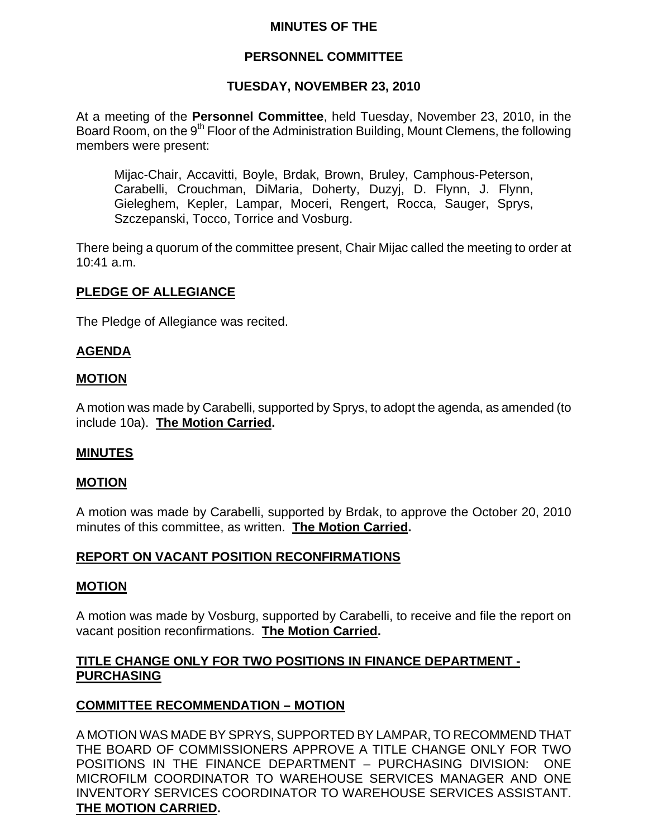### **MINUTES OF THE**

### **PERSONNEL COMMITTEE**

### **TUESDAY, NOVEMBER 23, 2010**

At a meeting of the **Personnel Committee**, held Tuesday, November 23, 2010, in the Board Room, on the 9<sup>th</sup> Floor of the Administration Building, Mount Clemens, the following members were present:

Mijac-Chair, Accavitti, Boyle, Brdak, Brown, Bruley, Camphous-Peterson, Carabelli, Crouchman, DiMaria, Doherty, Duzyj, D. Flynn, J. Flynn, Gieleghem, Kepler, Lampar, Moceri, Rengert, Rocca, Sauger, Sprys, Szczepanski, Tocco, Torrice and Vosburg.

There being a quorum of the committee present, Chair Mijac called the meeting to order at 10:41 a.m.

### **PLEDGE OF ALLEGIANCE**

The Pledge of Allegiance was recited.

#### **AGENDA**

#### **MOTION**

A motion was made by Carabelli, supported by Sprys, to adopt the agenda, as amended (to include 10a). **The Motion Carried.** 

#### **MINUTES**

#### **MOTION**

A motion was made by Carabelli, supported by Brdak, to approve the October 20, 2010 minutes of this committee, as written. **The Motion Carried.** 

#### **REPORT ON VACANT POSITION RECONFIRMATIONS**

#### **MOTION**

A motion was made by Vosburg, supported by Carabelli, to receive and file the report on vacant position reconfirmations. **The Motion Carried.** 

### **TITLE CHANGE ONLY FOR TWO POSITIONS IN FINANCE DEPARTMENT - PURCHASING**

#### **COMMITTEE RECOMMENDATION – MOTION**

A MOTION WAS MADE BY SPRYS, SUPPORTED BY LAMPAR, TO RECOMMEND THAT THE BOARD OF COMMISSIONERS APPROVE A TITLE CHANGE ONLY FOR TWO POSITIONS IN THE FINANCE DEPARTMENT – PURCHASING DIVISION: ONE MICROFILM COORDINATOR TO WAREHOUSE SERVICES MANAGER AND ONE INVENTORY SERVICES COORDINATOR TO WAREHOUSE SERVICES ASSISTANT. **THE MOTION CARRIED.**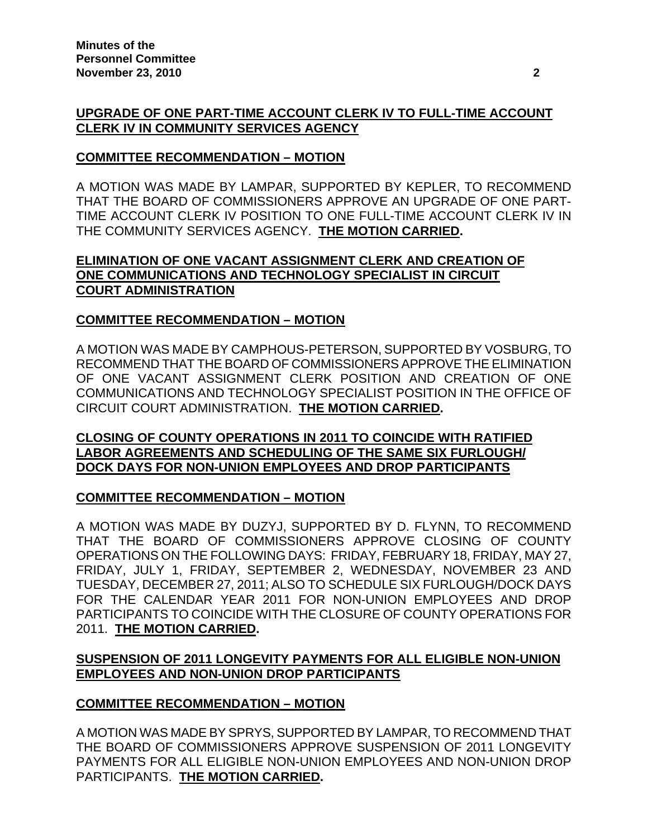# **UPGRADE OF ONE PART-TIME ACCOUNT CLERK IV TO FULL-TIME ACCOUNT CLERK IV IN COMMUNITY SERVICES AGENCY**

# **COMMITTEE RECOMMENDATION – MOTION**

A MOTION WAS MADE BY LAMPAR, SUPPORTED BY KEPLER, TO RECOMMEND THAT THE BOARD OF COMMISSIONERS APPROVE AN UPGRADE OF ONE PART-TIME ACCOUNT CLERK IV POSITION TO ONE FULL-TIME ACCOUNT CLERK IV IN THE COMMUNITY SERVICES AGENCY. **THE MOTION CARRIED.** 

### **ELIMINATION OF ONE VACANT ASSIGNMENT CLERK AND CREATION OF ONE COMMUNICATIONS AND TECHNOLOGY SPECIALIST IN CIRCUIT COURT ADMINISTRATION**

# **COMMITTEE RECOMMENDATION – MOTION**

A MOTION WAS MADE BY CAMPHOUS-PETERSON, SUPPORTED BY VOSBURG, TO RECOMMEND THAT THE BOARD OF COMMISSIONERS APPROVE THE ELIMINATION OF ONE VACANT ASSIGNMENT CLERK POSITION AND CREATION OF ONE COMMUNICATIONS AND TECHNOLOGY SPECIALIST POSITION IN THE OFFICE OF CIRCUIT COURT ADMINISTRATION. **THE MOTION CARRIED.** 

### **CLOSING OF COUNTY OPERATIONS IN 2011 TO COINCIDE WITH RATIFIED LABOR AGREEMENTS AND SCHEDULING OF THE SAME SIX FURLOUGH/ DOCK DAYS FOR NON-UNION EMPLOYEES AND DROP PARTICIPANTS**

# **COMMITTEE RECOMMENDATION – MOTION**

A MOTION WAS MADE BY DUZYJ, SUPPORTED BY D. FLYNN, TO RECOMMEND THAT THE BOARD OF COMMISSIONERS APPROVE CLOSING OF COUNTY OPERATIONS ON THE FOLLOWING DAYS: FRIDAY, FEBRUARY 18, FRIDAY, MAY 27, FRIDAY, JULY 1, FRIDAY, SEPTEMBER 2, WEDNESDAY, NOVEMBER 23 AND TUESDAY, DECEMBER 27, 2011; ALSO TO SCHEDULE SIX FURLOUGH/DOCK DAYS FOR THE CALENDAR YEAR 2011 FOR NON-UNION EMPLOYEES AND DROP PARTICIPANTS TO COINCIDE WITH THE CLOSURE OF COUNTY OPERATIONS FOR 2011. **THE MOTION CARRIED.** 

# **SUSPENSION OF 2011 LONGEVITY PAYMENTS FOR ALL ELIGIBLE NON-UNION EMPLOYEES AND NON-UNION DROP PARTICIPANTS**

# **COMMITTEE RECOMMENDATION – MOTION**

A MOTION WAS MADE BY SPRYS, SUPPORTED BY LAMPAR, TO RECOMMEND THAT THE BOARD OF COMMISSIONERS APPROVE SUSPENSION OF 2011 LONGEVITY PAYMENTS FOR ALL ELIGIBLE NON-UNION EMPLOYEES AND NON-UNION DROP PARTICIPANTS. **THE MOTION CARRIED.**